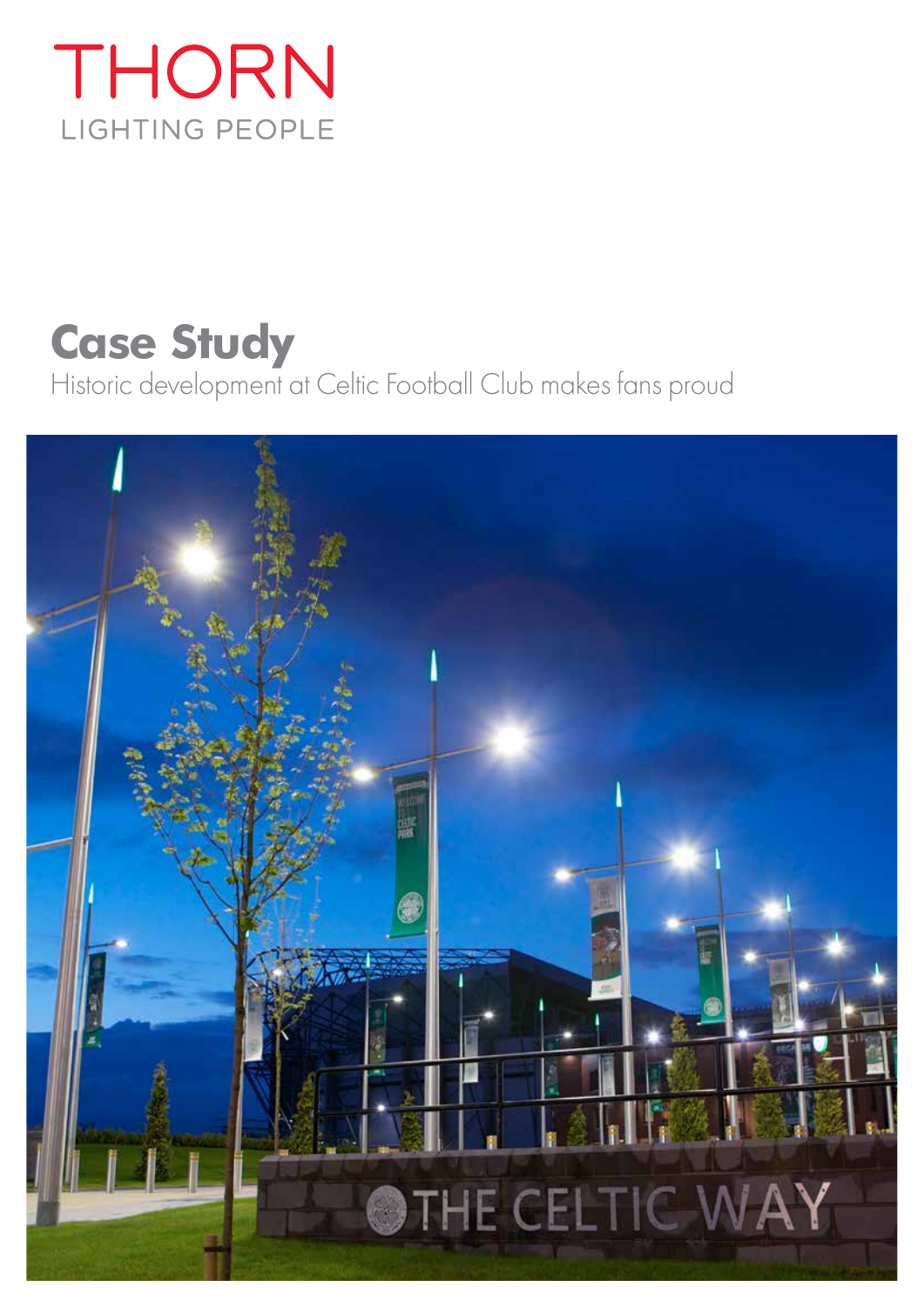## THORN LIGHTING PEOPLE

# **Case Study**

Historic development at Celtic Football Club makes fans proud

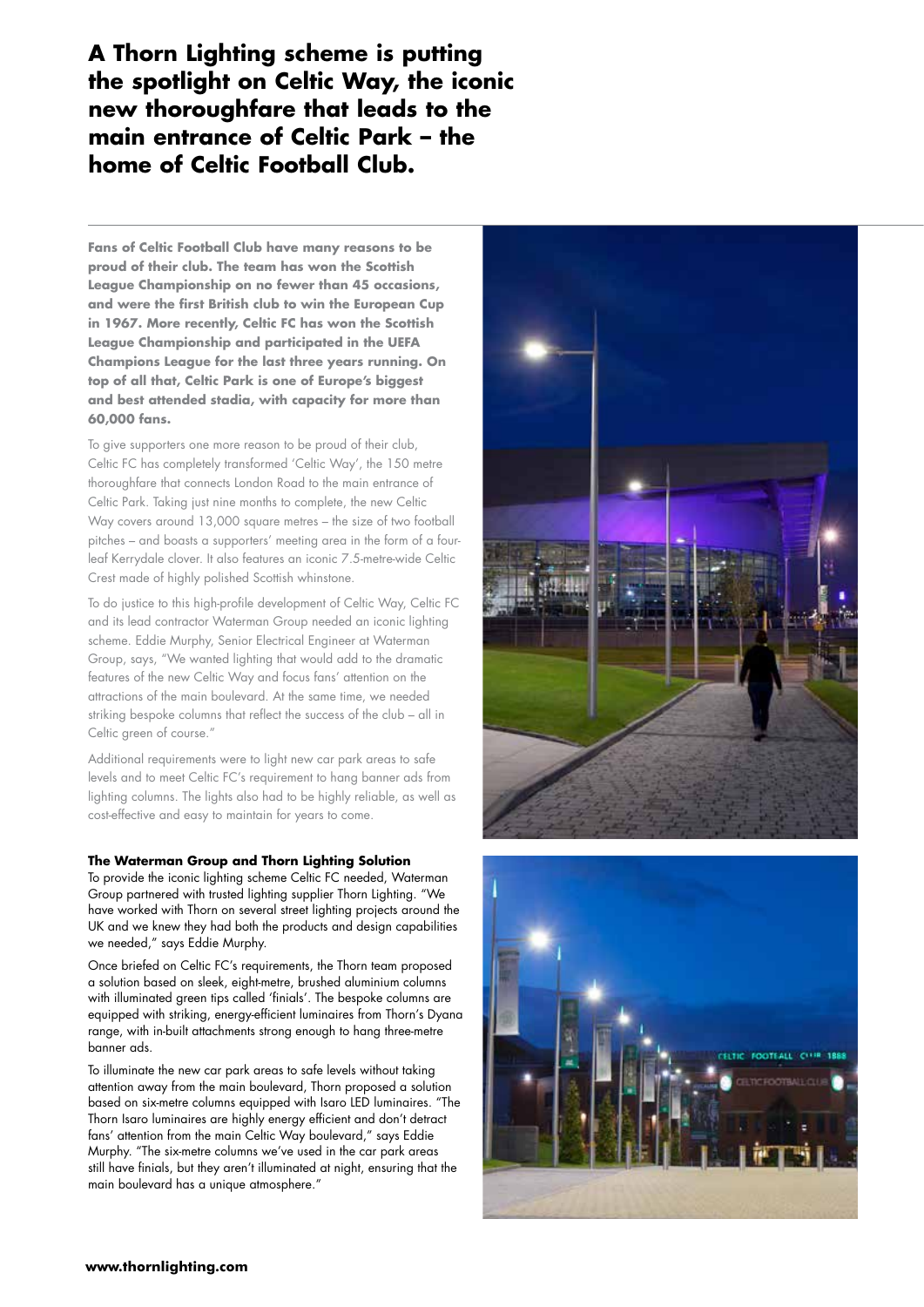**A Thorn Lighting scheme is putting the spotlight on Celtic Way, the iconic new thoroughfare that leads to the main entrance of Celtic Park – the home of Celtic Football Club.**

**Fans of Celtic Football Club have many reasons to be proud of their club. The team has won the Scottish League Championship on no fewer than 45 occasions, and were the first British club to win the European Cup in 1967. More recently, Celtic FC has won the Scottish League Championship and participated in the UEFA Champions League for the last three years running. On top of all that, Celtic Park is one of Europe's biggest and best attended stadia, with capacity for more than 60,000 fans.** 

To give supporters one more reason to be proud of their club, Celtic FC has completely transformed 'Celtic Way', the 150 metre thoroughfare that connects London Road to the main entrance of Celtic Park. Taking just nine months to complete, the new Celtic Way covers around 13,000 square metres – the size of two football pitches – and boasts a supporters' meeting area in the form of a fourleaf Kerrydale clover. It also features an iconic 7.5-metre-wide Celtic Crest made of highly polished Scottish whinstone.

To do justice to this high-profile development of Celtic Way, Celtic FC and its lead contractor Waterman Group needed an iconic lighting scheme. Eddie Murphy, Senior Electrical Engineer at Waterman Group, says, "We wanted lighting that would add to the dramatic features of the new Celtic Way and focus fans' attention on the attractions of the main boulevard. At the same time, we needed striking bespoke columns that reflect the success of the club – all in Celtic green of course."

Additional requirements were to light new car park areas to safe levels and to meet Celtic FC's requirement to hang banner ads from lighting columns. The lights also had to be highly reliable, as well as cost-effective and easy to maintain for years to come.

#### **The Waterman Group and Thorn Lighting Solution**

To provide the iconic lighting scheme Celtic FC needed, Waterman Group partnered with trusted lighting supplier Thorn Lighting. "We have worked with Thorn on several street lighting projects around the UK and we knew they had both the products and design capabilities we needed," says Eddie Murphy.

Once briefed on Celtic FC's requirements, the Thorn team proposed a solution based on sleek, eight-metre, brushed aluminium columns with illuminated green tips called 'finials'. The bespoke columns are equipped with striking, energy-efficient luminaires from Thorn's Dyana range, with in-built attachments strong enough to hang three-metre banner ads.

To illuminate the new car park areas to safe levels without taking attention away from the main boulevard, Thorn proposed a solution based on six-metre columns equipped with Isaro LED luminaires. "The Thorn Isaro luminaires are highly energy efficient and don't detract fans' attention from the main Celtic Way boulevard," says Eddie Murphy. "The six-metre columns we've used in the car park areas still have finials, but they aren't illuminated at night, ensuring that the main boulevard has a unique atmosphere."



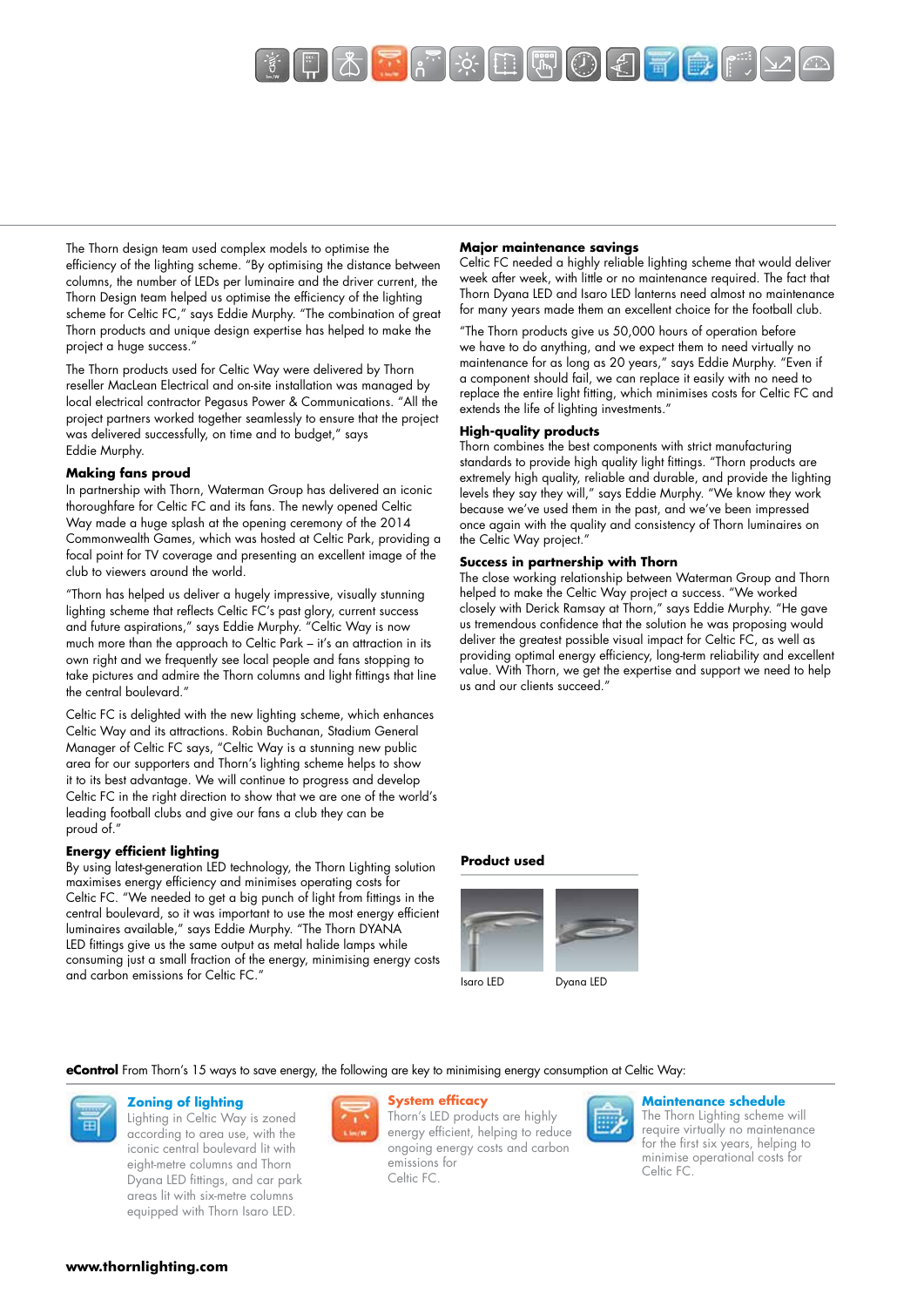

The Thorn design team used complex models to optimise the efficiency of the lighting scheme. "By optimising the distance between columns, the number of LEDs per luminaire and the driver current, the Thorn Design team helped us optimise the efficiency of the lighting scheme for Celtic FC," says Eddie Murphy. "The combination of great Thorn products and unique design expertise has helped to make the project a huge success."

The Thorn products used for Celtic Way were delivered by Thorn reseller MacLean Electrical and on-site installation was managed by local electrical contractor Pegasus Power & Communications. "All the project partners worked together seamlessly to ensure that the project was delivered successfully, on time and to budget," says Eddie Murphy.

#### **Making fans proud**

In partnership with Thorn, Waterman Group has delivered an iconic thoroughfare for Celtic FC and its fans. The newly opened Celtic Way made a huge splash at the opening ceremony of the 2014 Commonwealth Games, which was hosted at Celtic Park, providing a focal point for TV coverage and presenting an excellent image of the club to viewers around the world.

"Thorn has helped us deliver a hugely impressive, visually stunning lighting scheme that reflects Celtic FC's past glory, current success and future aspirations," says Eddie Murphy. "Celtic Way is now much more than the approach to Celtic Park – it's an attraction in its own right and we frequently see local people and fans stopping to take pictures and admire the Thorn columns and light fittings that line the central boulevard."

Celtic FC is delighted with the new lighting scheme, which enhances Celtic Way and its attractions. Robin Buchanan, Stadium General Manager of Celtic FC says, "Celtic Way is a stunning new public area for our supporters and Thorn's lighting scheme helps to show it to its best advantage. We will continue to progress and develop Celtic FC in the right direction to show that we are one of the world's leading football clubs and give our fans a club they can be proud of."

#### **Energy efficient lighting**

By using latest-generation LED technology, the Thorn Lighting solution maximises energy efficiency and minimises operating costs for Celtic FC. "We needed to get a big punch of light from fittings in the central boulevard, so it was important to use the most energy efficient luminaires available," says Eddie Murphy. "The Thorn DYANA LED fittings give us the same output as metal halide lamps while consuming just a small fraction of the energy, minimising energy costs and carbon emissions for Celtic FC."

#### **Major maintenance savings**

Celtic FC needed a highly reliable lighting scheme that would deliver week after week, with little or no maintenance required. The fact that Thorn Dyana LED and Isaro LED lanterns need almost no maintenance for many years made them an excellent choice for the football club.

"The Thorn products give us 50,000 hours of operation before we have to do anything, and we expect them to need virtually no maintenance for as long as 20 years," says Eddie Murphy. "Even if a component should fail, we can replace it easily with no need to replace the entire light fitting, which minimises costs for Celtic FC and extends the life of lighting investments."

#### **High-quality products**

Thorn combines the best components with strict manufacturing standards to provide high quality light fittings. "Thorn products are extremely high quality, reliable and durable, and provide the lighting levels they say they will," says Eddie Murphy. "We know they work because we've used them in the past, and we've been impressed once again with the quality and consistency of Thorn luminaires on the Celtic Way project.'

#### **Success in partnership with Thorn**

The close working relationship between Waterman Group and Thorn helped to make the Celtic Way project a success. "We worked closely with Derick Ramsay at Thorn," says Eddie Murphy. "He gave us tremendous confidence that the solution he was proposing would deliver the greatest possible visual impact for Celtic FC, as well as providing optimal energy efficiency, long-term reliability and excellent value. With Thorn, we get the expertise and support we need to help us and our clients succeed."

#### **Product used**



**eControl** From Thorn's 15 ways to save energy, the following are key to minimising energy consumption at Celtic Way:



### **Zoning of lighting**

Lighting in Celtic Way is zoned according to area use, with the iconic central boulevard lit with eight-metre columns and Thorn Dyana LED fittings, and car park areas lit with six-metre columns equipped with Thorn Isaro LED.



#### **System efficacy**

Thorn's LED products are highly energy efficient, helping to reduce ongoing energy costs and carbon emissions for Celtic FC.



#### **Maintenance schedule**

The Thorn Lighting scheme will require virtually no maintenance for the first six years, helping to minimise operational costs for Celtic FC.